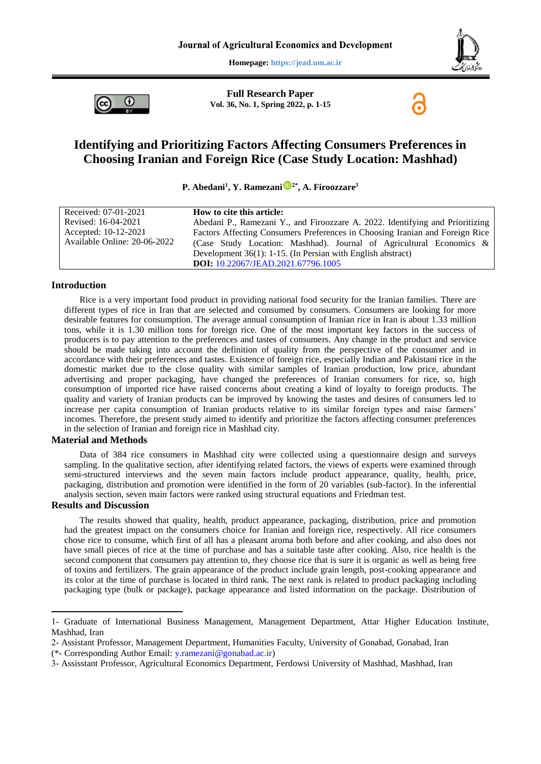**Homepage: https://jead.um.ac.ir**





**Full Research Paper Vol. 36, No. 1, Spring 2022, p. 1-15**

# **Identifying and Prioritizing Factors Affecting Consumers Preferences in Choosing Iranian and Foreign Rice (Case Study Location: Mashhad)**

**P. Abedani<sup>1</sup> , Y. Ramezani 2\* , A. Firoozzare<sup>3</sup>**

| Received: 07-01-2021                                           | How to cite this article:                                                     |  |  |
|----------------------------------------------------------------|-------------------------------------------------------------------------------|--|--|
| Revised: 16-04-2021                                            | Abedani P., Ramezani Y., and Firoozzare A. 2022. Identifying and Prioritizing |  |  |
| Accepted: 10-12-2021                                           | Factors Affecting Consumers Preferences in Choosing Iranian and Foreign Rice  |  |  |
| Available Online: 20-06-2022                                   | (Case Study Location: Mashhad). Journal of Agricultural Economics &           |  |  |
| Development $36(1)$ : 1-15. (In Persian with English abstract) |                                                                               |  |  |
|                                                                | <b>DOI:</b> 10.22067/JEAD.2021.67796.1005                                     |  |  |

### **Introduction**

Rice is a very important food product in providing national food security for the Iranian families. There are different types of rice in Iran that are selected and consumed by consumers. Consumers are looking for more desirable features for consumption. The average annual consumption of Iranian rice in Iran is about 1.33 million tons, while it is 1.30 million tons for foreign rice. One of the most important key factors in the success of producers is to pay attention to the preferences and tastes of consumers. Any change in the product and service should be made taking into account the definition of quality from the perspective of the consumer and in accordance with their preferences and tastes. Existence of foreign rice, especially Indian and Pakistani rice in the domestic market due to the close quality with similar samples of Iranian production, low price, abundant advertising and proper packaging, have changed the preferences of Iranian consumers for rice, so, high consumption of imported rice have raised concerns about creating a kind of loyalty to foreign products. The quality and variety of Iranian products can be improved by knowing the tastes and desires of consumers led to increase per capita consumption of Iranian products relative to its similar foreign types and raise farmers' incomes. Therefore, the present study aimed to identify and prioritize the factors affecting consumer preferences in the selection of Iranian and foreign rice in Mashhad city.

#### **Material and Methods**

Data of 384 rice consumers in Mashhad city were collected using a questionnaire design and surveys sampling. In the qualitative section, after identifying related factors, the views of experts were examined through semi-structured interviews and the seven main factors include product appearance, quality, health, price, packaging, distribution and promotion were identified in the form of 20 variables (sub-factor). In the inferential analysis section, seven main factors were ranked using structural equations and Friedman test.

#### **Results and Discussion**

1

The results showed that quality, health, product appearance, packaging, distribution, price and promotion had the greatest impact on the consumers choice for Iranian and foreign rice, respectively. All rice consumers chose rice to consume, which first of all has a pleasant aroma both before and after cooking, and also does not have small pieces of rice at the time of purchase and has a suitable taste after cooking. Also, rice health is the second component that consumers pay attention to, they choose rice that is sure it is organic as well as being free of toxins and fertilizers. The grain appearance of the product include grain length, post-cooking appearance and its color at the time of purchase is located in third rank. The next rank is related to product packaging including packaging type (bulk or package), package appearance and listed information on the package. Distribution of

<sup>1-</sup> Graduate of International Business Management, Management Department, Attar Higher Education Institute, Mashhad, Iran

<sup>2-</sup> Assistant Professor, Management Department, Humanities Faculty, University of Gonabad, Gonabad, Iran

<sup>(\*-</sup> Corresponding Author Email: [y.ramezani@gonabad.ac.ir\)](mailto:y.ramezani@gonabad.ac.ir)

<sup>3-</sup> Assisstant Professor, Agricultural Economics Department, Ferdowsi University of Mashhad, Mashhad, Iran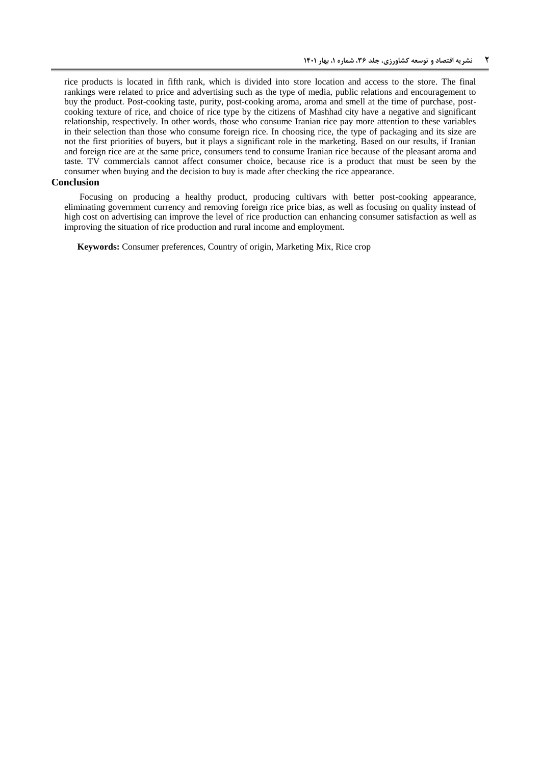rice products is located in fifth rank, which is divided into store location and access to the store. The final rankings were related to price and advertising such as the type of media, public relations and encouragement to buy the product. Post-cooking taste, purity, post-cooking aroma, aroma and smell at the time of purchase, postcooking texture of rice, and choice of rice type by the citizens of Mashhad city have a negative and significant relationship, respectively. In other words, those who consume Iranian rice pay more attention to these variables in their selection than those who consume foreign rice. In choosing rice, the type of packaging and its size are not the first priorities of buyers, but it plays a significant role in the marketing. Based on our results, if Iranian and foreign rice are at the same price, consumers tend to consume Iranian rice because of the pleasant aroma and taste. TV commercials cannot affect consumer choice, because rice is a product that must be seen by the consumer when buying and the decision to buy is made after checking the rice appearance.

### **Conclusion**

Focusing on producing a healthy product, producing cultivars with better post-cooking appearance, eliminating government currency and removing foreign rice price bias, as well as focusing on quality instead of high cost on advertising can improve the level of rice production can enhancing consumer satisfaction as well as improving the situation of rice production and rural income and employment.

**Keywords:** Consumer preferences, Country of origin, Marketing Mix, Rice crop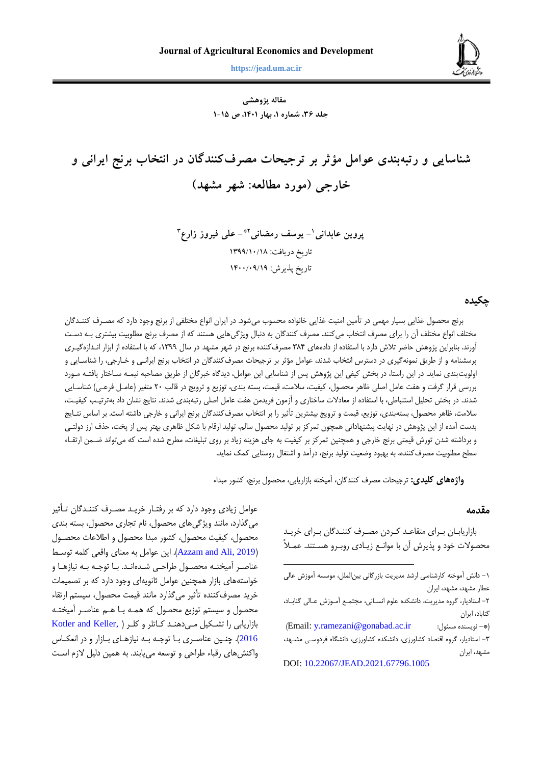**عابدانی و همکاران، شناسایی و رتبهبندی عوامل مؤثر بر ترجیحات مصرفکنندگان در انتخاب برنج ایرانی و خارجی 3 https://jead.um.ac.ir**

**مقاله پژوهشی جلد ،63 شماره ،1 بهار ،1041 ص 1-11**

**شناسایی و رتبهبندی عوامل مؤثر بر ترجیحات مصرفکنندگان در انتخاب برنج ایرانی و خارجی )مورد مطالعه: شهر مشهد(**

**- یوسف رمضانی <sup>1</sup> پروین عابدانی - علی فیروز زارع 2\* 3** تاریخ دریافت: 8911/81/81 تاریخ پذیرش: ۹/۱۹/۰۹/۱۴۰۰/

### **چکیده**

برنج محصول غذایی بسیار مهمی در تأمین امنیت غذایی خانواده محسوب میشود. در ایران انواع مختلفی از برنج وجود دارد که مصرر کننرانان مختلف انواع مختلف آن را برای مصرف انتخاب میکنند. مصرف کنندگان به دنبال ویژگیهایی هستند که از مصرف برنج مطلوبیت بیشتری بـه دسـت آورند. بنابراین پژوهش حاضر تلاش دارد با استفاده از دادههای ۳۸۴ مصرف کننده برنج در شهر مشهد در سال ۱۳۹۹، که با استفاده از ابزار انـدازهگیـری پرسشنامه و از طریق نمونهگیری در دسترس انتخاب شدند، عوامل مؤثر بر ترجیحات مصرفکنندگان در انتخاب برنج ایرانـی و خـارجی، را شناسـایی و اولویتبندی نماید. در این راستا، در بخش کیفی این پژوهش پس از شناسایی این عوامل، دیدگاه خبرگان از طریق مصاحبه نیمـه سـاختار یافتـه مـورد بررسی قرار گرفت و هفت عامل اصلی ظاهر محصول، کیفیت، سلامت، قیمت، بسته بندی، توزیع و ترویج در قالب ٢٠ متغیر (عامـل فرعـی) شناسـایی شدند. در بخش تحلیل استنباطی، با استفاده از معادلات ساختاری و آزمون فریدمن هفت عامل اصلی رتبهبندی شدند. نتایج نشان داد بهترتیـب کیفیـت، سلامت، ظاهر محصول، بستهبندی، توزیع، قیمت و ترویج بیشترین تأثیر را بر انتخاب مصرف کنندگان برنج ایرانی و خارجی داشته است. بر اساس نتـایج بدست آمده از این پژوهش در نهایت پیشنهاداتی همچون تمرکز بر تولید محصول سالم، تولید ارقام با شکل ظاهری بهتر پس از پخت، حذف ارز دولتـی و برداشته شدن تورش قیمتی برنج خارجی و همچنین تمرکز بر کیفیت به جای هزینه زیاد بر روی تبلیغات، مطرح شده است که میتواند ضـمن ارتقـاء سطح مطلوبیت مصرف کننده، به بهبود وضعیت تولید برنج، درآمد و اشتغال روستایی کمک نماید.

 $\overline{a}$ 

**واژههای کلیدی:** ترجیحات مصر کننانان، آمیخته بازاریابی، محصول برنج، کشور مباا

### **مقدمه**

بازاریابان بـرای متقاعـد کـردن مصـرف کننـدگان بـرای خریـد محصوالت خود و پذیرش آن با موانرع زیرادی روبررو هسرتنا. عمرال

DOI: [10.22067/JEAD.2021.67796.1005](https://dx.doi.org/10.22067/JEAD.2021.67796.1005)

عوامل زیادی وجود دارد که بر رفتـار خریـد مصـرف کننـدگان تـأثیر می گذارد، مانند ویژگی های محصول، نام تجاری محصول، بسته بندی محصول، کیفیت محصول، کشور مباا محصول و اطالعات محصرول (Azzam and Ali, 2019). این عوامل به معنای واقعی کلمه توسط عناصر آمیختـه محصـول طراحـی شـدهانـد. بـا توجـه بـه نیازهـا و خواستههای بازار همچنین عوامل ثانویهای وجود دارد که بر تصمیمات خرید مصرف کننده تأثیر میگذارد مانند قیمت محصول، سیستم ارتقاء محصول و سیستم توزیع محصول که همـه بـا هـم عناصـر آمیختـه بازاریابی را تشرکیل مری دهنرا کراتلر و کلرر [\)](#page-13-1) [,Keller and Kotler](#page-13-1) [2016](#page-13-1)). چنـین عناصـری بـا توجـه بـه نیازهـای بـازار و در انعکـاس واکنشهای رقباء طراحی و توسعه می یابند. به همین دلیل لازم است



<sup>-9</sup> دانش آموخته کارشناتی ارشا مایریت بازرنانی بینالملل، موتسه آموزش عالی عطار مشهد، مشهد، ایران

<sup>-0</sup> اتتادیار، نروه مایریت، دانشکاه علوم انسرانی ، مجتمرع آمروزش عرالی ننابراد ، گناباد، ایران

شEmail[: y.ramezani@gonabad.ac.ir](mailto:y.ramezani@gonabad.ac.ir) :مسئول نویسناه -)\* -4 اتتادیار، نروه اقتصاد کشاورزی، دانشکاه کشاورزی، دانشگاه هردوتری مشرها، مشهد، ایران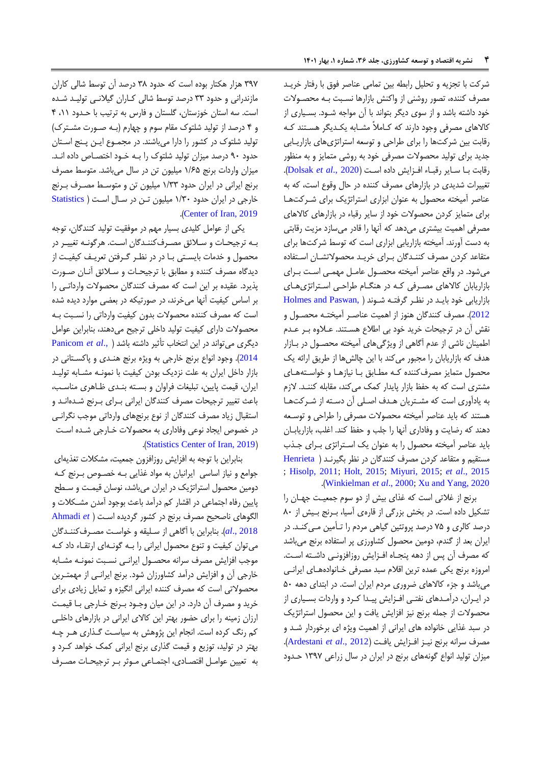شرکت با تجزیه و تحلیل رابطه بین تمامی عناصر هوق با رهتار خریرا مصرف کننده، تصور روشنی از واکنش بازارها نسبت بـه محصـولات خود داشته باشد و از سوی دیگر بتواند با آن مواجه شــود. بســیاری از کالاهای مصرفی وجود دارند که کـاملاً مشـابه یکـدیگر هسـتند کـه رقابت بین شرکتها را برای طراحی و توتعه اتتراتژیهای بازاریر ابی جایا برای تولیا محصوالت مصرهی خود به روشی متمایز و به منظور رقابت با سایر رقباء افزایش داده است (Dolsak et al., 2020). تغییرات شدیدی در بازارهای مصرف کننده در حال وقوع است، که به عناصر آمیخته محصول به عنوان ابزاری اتتراتژیک برای شررکت هرا برای متمایز کردن محصولات خود از سایر رقباء در بازارهای کالاهای مصرفی اهمیت بیشتری میدهد که آنها را قادر میسازد مزیت رقابتی به دست آورند. آمیخته بازاریابی ابزاری است که توسط شرکتها برای متقاعد کردن مصرف کننـدگان بـرای خریـد محصولاتشـان اسـتفاده میشود. در واقع عناصر آمیخته محصرول عامرل مهمری اترت بررای بازاریابان کاالهای مصررهی کره در هنگرام طراحری اترتراتژی هرای بازاریابی خود باید در نظر گرفته شوند ( Holmes and Paswan, [2012](#page-13-3)). مصرف کنندگان هنوز از اهمیت عناصر آمیختـه محصـول و نقش آن در ترجیحات خرید خود بی اطلاع هستند. عـلاوه بـر عـدم اطمینان ناشی از عدم آگاهی از ویژگیهای آمیخته محصول در بـازار هدف که بازاریابان را مجبور میکند با این چالشها از طریق ارائه یک محصول متمایز مصرف کننده ک4 مطابق با نیازها و خواستههای مشتری است که به حفظ بازار پایدار کمک میکند، مقابله کننـد. لازم به یادآوری است که مشـتریان هـدف اصـلی آن دسـته از شـرکتهـا هستند که باید عناصر آمیخته محصولات مصرفی را طراحی و توسـعه دهند که رضایت و وفاداری آنها را جلب و حفظ کند. اغلب، بازاریابان باید عناصر آمیخته محصول را به عنوان یک استراتژی بهرای جلذب مستقیم و متقاعد کردن مصرف کنندگان در نظر بگیرند ( [Henrieta](#page-13-4) ; [Hisolp, 2011;](#page-13-5) [Holt, 2015;](#page-13-6) [Miyuri, 2015;](#page-13-7) *et al*[., 2015](#page-13-4) .ش[Winkielman](#page-14-0) *et al*., 2000[; Xu and Yang, 2020](#page-14-1)

برنج از غالتی اتت که غذای بیش از دو توم جمعیرت جهران را تشکیل داده است. در بخش بزرگی از قارهی آسیا، برنج بیش از ۸۰ درصا کالری و 57 درصا پروتئین نیاهی مردم را ترأمین مری کنرا. در ایران بعد از گندم، دومین محصول کشاورزی پر استفاده برنج میباشد که مصرف آن پس از دهه پنجـاه افـزایش روزافزونـی داشـته اسـت. امروزه برنج یکی عمده ترین اقلام سبد مصرفی خـانوادههـای ایرانـی میباشد و جزء کالاهای ضروری مردم ایران است. در ابتدای دهه ۵۰ در ایرران، درآمراهای نفتری اهرزایش پیراا کررد و واردات بسریاری از محصوالت از جمله برنج نیز اهزایش یاهت و این محصول اتتراتژیک در سبد غذایی خانواده های ایرانی از اهمیت ویژه ای برخوردار شـد و مصرف سرانه برنج نیز افزایش یافت (Ardestani et al., 2012). میزان تولید انواع گونههای برنج در ایران در سال زراعی ١٣٩٧ حدود

۳۹۷ هزار هکتار بوده است که حدود ۳۸ درصد آن توسط شالی کاران مازندرانی و حدود ٣٣ درصد توسط شالی کـاران گیلانـی تولیـد شـده است. سه استان خوزستان، گلستان و فارس به ترتیب با حدود ۴،۱۱ و ۴ درصد از تولید شلتوک مقام سوم و چهارم (به صورت مشترک) تولید شلتوک در کشور را دارا میباشند. در مجمـوع ایـن پـنج اسـتان حدود ۹۰ درصد میزان تولید شلتوک را بـه خـود اختصـاص داده انـد. میزان واردات برنج ۱/۶۵ میلیون تن در سال میباشد. متوسط مصرف برنج ایرانی در ایران حدود ۱/۳۳ میلیون تن و متوسط مصـرف بـرنج خارجی در ایران حدود ١/٣٠ میلیون تن در سال است ( [Statistics](#page-13-9) .([Center of Iran, 2019](#page-13-9)).

یکی از عوامل کلیدی بسیار مهم در موفقیت تولید کنندگان، توجه به ترجیحات و سلائق مصرف کنندگان است. هرگونـه تغییـر در محصول و خدمات بایستی با در در نظر گرفتن تعریف کیفیت از دیدگاه مصرف کننده و مطابق با ترجیحـات و سـلائق آنــان صــورت پذیرد. عقیده بر این است که مصرف کنندگان محصولات وارداتی را بر اساس کیفیت آنها میخرند، در صورتیکه در بعضی موارد دیده شده است که مصرف کننده محصولات بدون کیفیت وارداتی را نسبت بـه محصوالت دارای کیفیت تولیا داخلی ترجیح میدهنا، بنابراین عوامل دیگریمیتواند در این انتخاب تأثیر داشته باشد ( .[,](#page-13-10)Panicom et al [2014](#page-13-10)). وجود انواع برنج خارجی به ویژه برنج هنـدی و پاکسـتانی در بازار داخل ایران به علت نزدیک بودن کیفیت با نمونره مشرابه تولیرا ایران، قیمت پایین، تبلیغات فراوان و بسته بنـدی ظـاهری مناسـب، باعث تغییر ترجیحات مصرف کنندگان ایرانی برای بـرنج شـدهانـد و استقبال زیاد مصرف کنندگان از نوع برنجهای وارداتی موجب نگرانی در خصوص ایجاد نوعی وفاداری به محصولات خـارجی شـده اسـت .ش[Statistics Center of Iran, 2019](#page-13-9)(

بنابراین با توجه به اهزایش روزاهزون جمعیت، مشکالت تغذیهای جوامع و نیاز اساسی ایرانیان به مواد غذایی بـه خصـوص بـرنج کـه دومین محصول استراتژیک در ایران میباشد، نوسان قیمت و سـطح پایین رهاه اجتماعی در اقشار کم درآما باعث بوجود آمان مشرکالت و الگوهای ناصحیح مصر برنج در کشور نردیاه اترت [\)](#page-13-11) *et* [Ahmadi](#page-13-11) [2018 .,](#page-13-11)*al*ش. بنابراین با آناهی از ترلیاه و خواترت مصرر کننرانان می توان کیفیت و تنوع محصول ایرانی را بـه گونـهای ارتقـاء داد کـه موجب افزایش مصرف سرانه محصـول ایرانـی نسـبت نمونـه مشـابه خارجی آن و اهزایش درآما کشاورزان شود. برنج ایرانری از مهمتررین محصوالتی اتت که مصر کنناه ایرانی انگیزه و تمایل زیادی برای خرید و مصرف آن دارد. در این میان وجـود بـرنج خـارجی بـا قیمـت ارزان زمینه را برای حضور بهتر این کاالی ایرانی در بازارهای داخلری کم رنگ کرده است. انجام این پژوهش به سیاست گـذاری هـر چـه بهتر در تولیا، توزیع و قیمت نذاری برنج ایرانی کمک خواها کررد و به تعیین عوامرل اقتصرادی، اجتمراعی مروثر برر ترجیحرات مصرر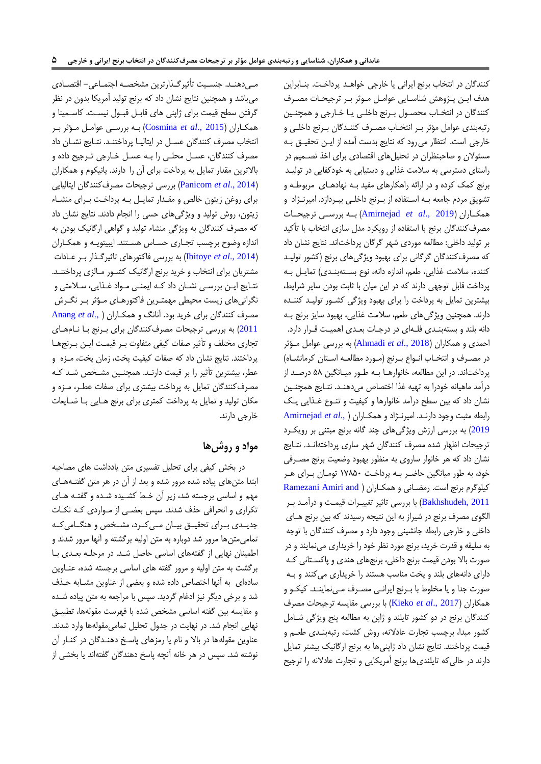کنندگان در انتخاب برنج ایرانی یا خارجی خواهد پرداخت. بنـابراین هدف ایـن پـژوهش شناسـایی عوامـل مـوثر بـر ترجیحـات مصـرف کنندگان در انتخـاب محصـول بـرنج داخلـی یـا خـارجی و همچنـین رتبهبندی عوامل مؤثر بـر انتخـاب مصـرف کننـدگان بـرنج داخلـی و خارجی است. انتظار می رود که نتایج بدست آمده از ایـن تحقیـق بـه مسئوالن و صاحبنظران در تحلیلهای اقتصادی برای اخذ تصرمیم در راستای دسترسی به سلامت غذایی و دستیابی به خودکفایی در تولید برنج کمک کرده و در ارائه راهکارهای مفید بـه نهادهـای مربوطـه و تشویق مردم جامعه بـه اسـتفاده از بـرنج داخلـی بپـردازد. امیرنـژاد و همکـاران (2019 *.,Amirnejad et al)* بـه بررســی ترجیحـات مصرف کنندگان برنج با استفاده از رویکرد مدل سازی انتخاب با تأکید بر تولید داخلی: مطالعه موردی شهر گرگان پرداختاند. نتایج نشان داد که مصرف کنندگان گرگانی برای بهبود ویژگیهای برنج (کشور تولیـد کننده، سلامت غذایی، طعم، اندازه دانه، نوع بستهبنـدی) تمایـل بـه پرداخت قابل توجهی دارند که در این میان با ثابت بودن سایر شرایط، بیشترین تمایل به پرداخت را برای بهبود ویژنی کشرور تولیرا کننراه دارند. همچنین ویژگیهای طعم، سلامت غذایی، بهبود سایز برنج بـه دانه بلند و بستهبنـدی فلـهای در درجـات بعـدی اهمیـت قــرار دارد. احمدی و همکاران (Ahmadi *et al.*, 2018) به بررسی عوامل مـؤثر در مصـرف و انتخــاب انــواع بــرنج (مــورد مطالعــه اســتان کرمانشــاه) پرداختاند. در این مطالعه، خانوارهـا بـه طـور میـانگین ۵۸ درصـد از درآمد ماهیانه خودرا به تهیه غذا اختصاص میدهنـد. نتـایج همچنـین نشان داد که بین سطح درآمد خانوارها و کیفیت و تنـوع غـذایی یـک رابطه مثبت وجود دارنرا. امیرنرژاد و همکراران [\)](#page-13-12) .,*al et* [Amirnejad](#page-13-12) [2019](#page-13-12)) به بررسی ارزش ویژگیهای چند گانه برنج مبتنی بر رویکرد ترجیحات اظهار شده مصرف کنندگان شهر ساری پرداختهانـد. نتـایج نشان داد که هر خانوار ساروی به منظور بهبود وضعیت برنج مصـرفی خود، به طور میانگین حاضر به پرداخت ۱۷۸۵۰ تومان برای هر کیلوگرم برنج است. رمضانی و همکاران ( Ramezani Amiri and [2011 ,Bakhshudeh](#page-13-13)ش با بررتی تاثیر تغییررات قیمرت و درآمرا برر الگوی مصرف برنج در شیراز به این نتیجه رسیدند که بین برنج هـای داخلی و خارجی رابطه جانشینی وجود دارد و مصر کننانان با توجه به سلیقه و قدرت خرید، برنج مورد نظر خود را خریداری مینمایند و در صورت بالا بودن قیمت برنج داخلی، برنجهای هندی و پاکستانی ک دارای دانههای بلند و پخت مناسب هستند را خریداری میکنند و ب صورت جدا و یا مخلوط با بـرنج ایرانـی مصـرف مـینماینـد. کیکـو و همکاران )[2017 .,](#page-13-14)*al et* Kiekoش با بررتی ماایسه ترجیحات مصر کنندگان برنج در دو کشور تایلند و ژاپن به مطالعه پنج ویژگی شـامل کشور مبدا، برچسب تجارت عادلانه، روش کشت، رتبهبنـدی طعـم و قیمت پرداختند. نتایج نشان داد ژاپنیها به برنج ارگانیک بیشتر تمایل دارند در حالی که تایلندی ها برنج آمریکایی و تجارت عادلانه را ترجیح

مهردهند. جنسیت تأثیرگذارترین مشخصه اجتماعی- اقتصادی میباشد و همچنین نتایج نشان داد که برنج تولید آمریکا بدون در نظر گرفتن سطح قیمت برای ژاپنی های قابـل قبـول نیسـت. کاسـمینا و همکاران (Cosmina *et al.*, 2015) بـه بررسـی عوامـل مـؤثر بـر انتخاب مصرف کنندگان عسل در ایتالیـا پرداختنـد. نتـایج نشـان داد مصرف کنندگان، عسـل محلـی را بـه عسـل خـارجی تـرجیح داده و بالاترین مقدار تمایل به پرداخت برای آن را دارند. پانیکوم و همکاران )2014 .,*al et* [Panicom](#page-13-10)ش بررتی ترجیحات مصر کننانان ایتالیایی برای روغن زیتون خالص و مقدار تمایل به پرداخت برای منشاء زیتون، روش تولید و ویژگیهای حسی را انجام دادند. نتایج نشان داد که مصرف کنندگان به ویژگی منشاء تولید و گواهی ارگانیک بودن به اناازه وضوح برچسب تجراری حسراس هسرتنا. ایبیتویره و همکراران )2014 .,*al et* [Ibitoye](#page-13-16)ش به بررتی هاکتورهای تاثیرنرذار برر عرادات مشتریان برای انتخاب و خرید برنج ارگانیک کشـور مـالزی پرداختنـد. نتـایج ایـن بررسـی نشـان داد کـه ایمنـی مـواد غـذایی، سـلامتی و نگرانیهای زیست محیطی مهمتررین هاکتورهرای مرؤثر برر نگررش مصر کننانان برای خریا بود. آنانگ و همکراران [\)](#page-13-17) .,*al et* [Anang](#page-13-17) [2011](#page-13-17)) به بررسی ترجیحات مصرف کنندگان برای برنج با نامهای تجاری مختلف و تأثیر صفات کیفی متفاوت برر قیمرت ایرن بررنج هرا پرداختند. نتایج نشان داد که صفات کیفیت پخت، زمان پخت، مـزه و عطر، بیشترین تأثیر را بر قیمت دارنـد. همچنـین مشـخص شـد کـه مصرف کنندگان تمایل به پرداخت بیشتری برای صفات عطـر، مـزه و مکان تولید و تمایل به پرداخت کمتری برای برنج هـایی بـا ضـایعات خارجی دارند.

## **مواد و روشها**

در بخش کیفی برای تحلیل تفسیری متن یادداشت های مصاحبه ابتدا متنهای پیاده شده مرور شده و بعد از آن در هر متن گفتـههـای مهم و اساسی برجسته شد، زیر آن خـط کشـیده شـده و گفتـه هـای تکراری و انحرافی حذف شدند. سپس بعضی از مـواردی کـه نکـات جدیدی برای تحقیـق بیـان مـیکرد، مشـخص و هنگـامیکه تمامیمتنها مرور شد دوباره به متن اولیه برگشته و آنها مرور شدند و اطمینان نهایی از گفتههای اساسی حاصل شد. در مرحله بعدی با برگشت به متن اولیه و مرور گفته های اساسی برجسته شده، عنــاوین سادهای به آنها اختصاص داده شده و بعضی از عناوین مشـابه حـذف شد و برخی دیگر نیز ادغام گردید. سپس با مراجعه به متن پیاده شـده و مقایسه بین گفته اساسی مشخص شده با فهرست مقولهها، تطبیـق نهایی انجام شد. در نهایت در جدول تحلیل تمامی،مقولهها وارد شدند. عناوین مقولهها در بالا و نام یا رمزهای پاسخ دهنـدگان در کنـار آن نوشته شد. سپس در هر خانه آنچه پاسخ دهندگان گفتهاند یا بخشی از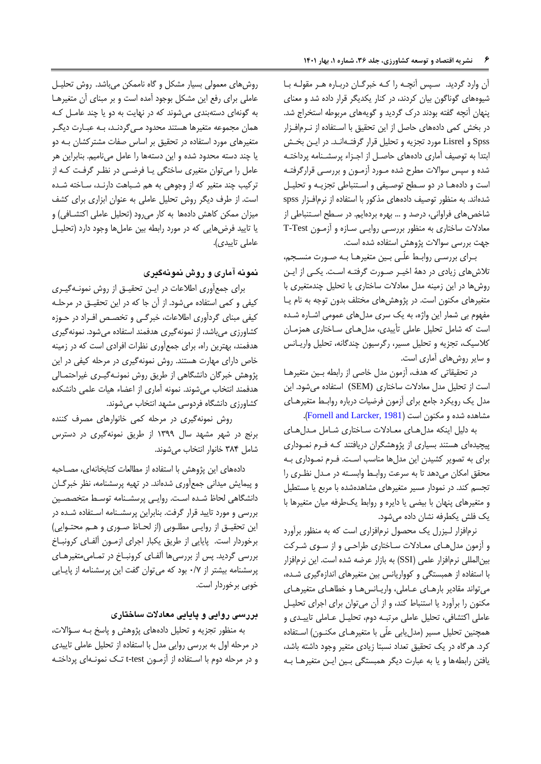آن وارد گردید. سپس آنچه را کـه خبرگـان دربـاره هـر مقولـه بـا شیوههای گوناگون بیان کردند، در کنار یکدیگر قرار داده شد و معنای پنهان آنچه گفته بودند درک گردید و گویههای مربوطه استخراج شد. در بخش کمی دادههای حاصل از این تحقیق با استفاده از نـرمافـزار Spss و Lisrel مورد تجزیه و تحلیل قرار گرفتـهانـد. در ایـن بخـش ابتدا به توصیف آماری دادههای حاصل از اجـزاء پرسشـنامه پرداختـه شده و سپس سوالات مطرح شده مـورد آزمـون و بررسـی قرارگرفتـه است و دادهها در دو سطح توصیفی و استنباطی تجزیـه و تحلیـل شدهاند. به منظور توصیف دادههای مذکور با استفاده از نرمافزار spss شاخصهای فراوانی، درصد و … بهره بردهایم. در سطح استنباطی از معادالت تاختاری به منظور بررتری روایری ترازه و آزمرون Test-T جهت بررسی سوالات پژوهش استفاده شده است.

بـرای بررسـي روابـط علّـي بـين متغيرهـا بـه صـورت منسـجم، تلاشهای زیادی در دهۀ اخیـر صـورت گرفتـه اسـت. یکـی از ایـن روشها در این زمینه مدل معادلات ساختاری یا تحلیل چندمتغیری با متغیرهای مکنون است. در پژوهشهای مختلف بدون توجه به نام یا مفهوم بی شمار این واژه، به یک سری مدلهای عمومی اشـاره شـده است که شامل تحلیل عاملی تأییدی، مدل های ساختاری همزمان کلاسیک، تجزیه و تحلیل مسیر، رگرسیون چندگانه، تحلیل واریـانس و سایر روشهای آماری است.

در تحقیقاتی که هدف، آزمون مدل خاصی از رابطه بین متغیرها اتت از تحلیل مال معادالت تاختاری (SEM (اتتفاده میشود. این مدل یک رویکرد جامع برای آزمون فرضیات درباره روابط متغیرهـای مشاهده شده و مکنون است (Fornell and Larcker, 1981).

به دلیل اینکه مدل های معادلات ساختاری شامل مدل های پیچیدهای هستند بسیاری از پژوهشگران دریافتند که فرم نموداری برای به تصویر کشیدن این مدلها مناسب است. فـرم نمـوداری بـه محقق امکان میدهد تا به سرعت روابط وابسته در مدل نظری را تجسم کند. در نمودار مسیر متغیرهای مشاهدهشده با مربع یا مستطیل و متغیرهای پنهان با بیضی یا دایره و روابط یکطرفه میان متغیرها با یک هلش یکطرهه نشان داده میشود.

نرمافزار لیزرل یک محصول نرمافزاری است که به منظور برآورد و آزمون مدل های معادلات ساختاری طراحی و از سـوی شـرکت بینالمللی نرمافزار علمی (SSI) به بازار عرضه شده است. این نرمافزار با استفاده از همبستگی و کوواریانس بین متغیرهای اندازهگیری شده، می تواند مقادیر بارهای عـاملی، واریـانسهـا و خطاهـای متغیرهـای مکنون را برآورد یا اتتنباط کنا، و از آن میتوان برای اجرای تحلیر ل عاملی اکتشافی، تحلیل عاملی مرتبـه دوم، تحلیـل عـاملی تاییـدی و همچنین تحلیل مسیر (مدل یابی علّی با متغیرهـای مکنـون) اسـتفاده کرد. هرگاه در یک تحقیق تعداد نسبتا زیادی متغیر وجود داشته باشد، یافتن رابطهها و یا به عبارت دیگر همبستگی بین ایـن متغیرهـا بـه

روشهای معمولی بسیار مشکل و گاه ناممکن میباشد. روش تحلیـل عاملی برای رفع این مشکل بوجود آمده است و بر مبنای آن متغیرهـا به گونهای دستهبندی میشوند که در نهایت به دو یا چند عامـل کـه همان مجموعه متغیرها هستند محدود مـی5ردنـد، بـه عبـارت دیگـر متغیرهای مورد استفاده در تحقیق بر اساس صفات مشترکشان بـه دو یا چند دسته محدود شده و این دستهها را عامل مینامیم. بنابراین هر عامل را میتوان متغیری ساختگی یـا فرضـی در نظـر گرفـت کـه از ترکیب چند متغیر که از وجوهی به هم شـباهت دارنـد، سـاخته شـده است. از طرف دیگر روش تحلیل عاملی به عنوان ابزاری برای کشف میزان ممکن کاهش دادهها به کار میرود (تحلیل عاملی اکتشـافی) و یا تاییا هرضهایی که در مورد رابطه بین عاملها وجود دارد )تحلیر ل عاملی تاییدی).

### **نمونه آماری و روش نمونهگیری**

برای جمعآوری اطلاعات در ایـن تحقیـق از روش نمونـهگیـری کیفی و کمی استفاده میشود. از آن جا که در این تحقیــق در مرحلــه کیفی مبنای گردآوری اطلاعات، خبرگی و تخصص افـراد در حـوزه کشاورزی میباشد، از نمونهگیری هدفمند استفاده میشود. نمونهگیری هدفمند، بهترین راه، برای جمعآوری نظرات افرادی است که در زمینه خاص دارای مهارت هستند. روش نمونهگیری در مرحله کیفی در این پژوهش خبرنان دانشگاهی از طریق روش نمونره نیرری غیراحتمرالی هدفمند انتخاب میشوند. نمونه آماری از اعضاء هیات علمی دانشکده کشاورزی دانشگاه فردوسی مشهد انتخاب می شوند.

روش نمونهگیری در مرحله کمی خانوارهای مصرف کننده برنج در شهر مشهد سال ۱۳۹۹ از طریق نمونهگیری در دسترس شامل 483 خانوار انتخاب میشونا.

دادههای این پژوهش با اتتفاده از مطالعات کتابخانهای، مصراحبه و پیمایش میدانی جمعآوری شدهاند. در تهیه پرسشنامه، نظر خبرگان دانشگاهی لحاظ شـده اسـت. روایـی پرسشـنامه توسـط متخصصـین بررسی و مورد تایید قرار گرفت. بنابراین پرسشـنامه اسـتفاده شـده در این تحقیـق از روایـی مطلـوبی (از لحـاظ صـوری و هـم محتـوایی) برخوردار است. پایایی از طریق یکبار اجرای ازمون آلفای کرونباخ بررسی گردید. پس از بررسیها آلفـای کرونبـاخ در تمـامیمتغیرهـای پرتشنامه بیشتر از 2/5 بود که میتوان نفت این پرتشنامه از پایرایی خوبی برخوردار اتت.

## **بررسی روایی و پایایی معادالت ساختاری**

به منظور تجزیه و تحلیل دادههای پژوهش و پاسخ بـه سـؤالات، در مرحله اول به بررسی روایی مدل با استفاده از تحلیل عاملی تاییدی و در مرحله دوم با استفاده از آزمـون t-test تـک نمونـهای پرداختـه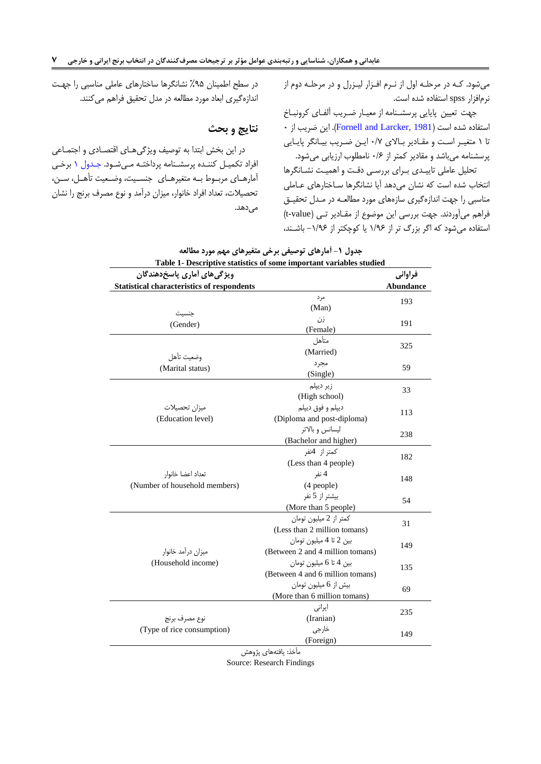میشود. کره در مرحلره اول از نررم اهرزار لیرزرل و در مرحلره دوم از نرمافزار spss استفاده شده است.

جهت تعیین پایایی پرسشنامه از معیار ضریب آلفای کرونباخ ۰ استفاده شده است (Fornell and Larcker, 1981). این ضریب از تا ۱ متغیر است و مقادیر بالای ۰/۷ این ضریب بیانگر پایایی پرسشنامه میباشد و مقادیر کمتر از 1۶ نامطلوب ارزیابی میشود.

<span id="page-6-0"></span>تحلیل عاملی تاییدی برای بررسی دقت و اهمیت نشانگرها انتخاب شده است که نشان میدهد آیا نشانگرها ساختارهای عـاملی مناسبی را جهت اندازهگیری سازههای مورد مطالعه در مدل تحقیق فراهم میآوردند. جهت بررسی این موضوع از مقـادیر تـی (t-value) استفاده می شود که اگر بزرگ تر از ۱/۹۶ یا کوچکتر از ۱/۹۶- باشـند،

در سطح اطمینان ۹۵٪ نشانگرها ساختارهای عاملی مناسبی را جهت اندازه گیری ابعاد مورد مطالعه در مدل تحقیق فراهم میکنند.

### **نتایج و بحث**

در این بخش ابتدا به توصیف ویژگیهای اقتصادی و اجتماعی افراد تکمیل کننده پرسشنامه پرداخته می شود. جدول ۱ برخی آمارهـای مربـوط بـه متغیرهـای جنسـیت، وضـعیت تأهـل، سـن، تحصیالت، تعااد اهراد خانوار، میزان درآما و نوع مصر برنج را نشان میدهد.

|                                                    | Table 1- Descriptive statistics of some important variables studied |                  |
|----------------------------------------------------|---------------------------------------------------------------------|------------------|
| ویژگی های آماری پاسخ دهندگان                       |                                                                     | فراواني          |
| <b>Statistical characteristics of respondents</b>  |                                                                     | <b>Abundance</b> |
|                                                    | مر د<br>(Man)                                                       | 193              |
| جنسيت<br>(Gender)                                  | زن<br>(Female)                                                      | 191              |
| وضعيت تأهل                                         | متأهل<br>(Married)                                                  | 325              |
| (Marital status)                                   | مجرد<br>(Single)                                                    | 59               |
|                                                    | زیر دیپلم<br>(High school)                                          | 33               |
| ميزان تحصيلات<br>(Education level)                 | ديپلم و فوق ديپلم<br>(Diploma and post-diploma)                     | 113              |
|                                                    | لیسانس و بالاتر<br>(Bachelor and higher)                            | 238              |
|                                                    | كمتر از 4نفر<br>(Less than 4 people)                                | 182              |
| تعداد اعضا خانوار<br>(Number of household members) | 4 نفر<br>(4 people)                                                 | 148              |
|                                                    | بیشتر از 5 نفر<br>(More than 5 people)                              | 54               |
|                                                    | كمتر از 2 ميليون تومان<br>(Less than 2 million tomans)              | 31               |
| میزان درآمد خانوار                                 | بين 2 تا 4 ميليون تومان<br>(Between 2 and 4 million tomans)         | 149              |
| (Household income)                                 | بين 4 تا 6 ميليون تومان<br>(Between 4 and 6 million tomans)         | 135              |
|                                                    | بیش از 6 میلیون تومان<br>(More than 6 million tomans)               | 69               |
| نوع مصرف برنج                                      | ايرانى<br>(Iranian)                                                 | 235              |
| (Type of rice consumption)                         | خارجى<br>(Foreign)                                                  | 149              |

|  |  |  | جدول ۱- آمارهای توصیفی برخی متغیرهای مهم مورد مطالعه |  |
|--|--|--|------------------------------------------------------|--|
|--|--|--|------------------------------------------------------|--|

مأخذ: یاهتههای پژوهش

Source: Research Findings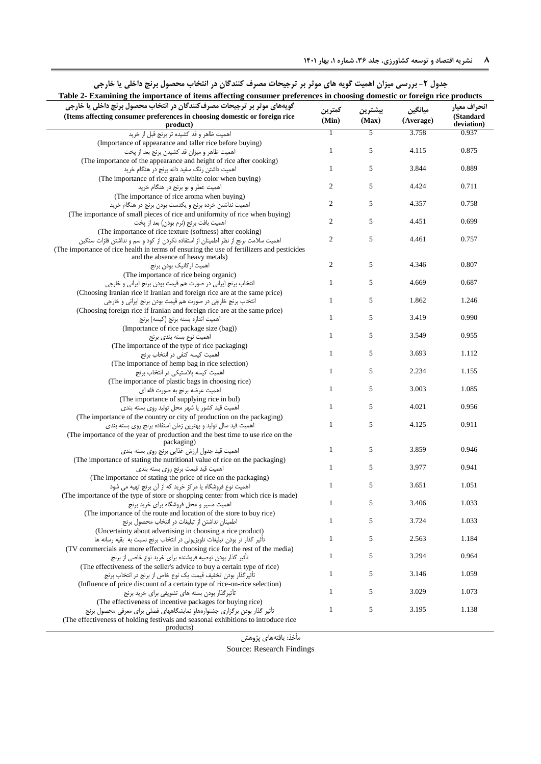<span id="page-7-0"></span>

| <b>۸ د</b> د نشریه اقتصاد و توسعه کشاورزی، جلد ۳۶، شماره ۱، بهار ۱۴۰۱ |  |
|-----------------------------------------------------------------------|--|
|-----------------------------------------------------------------------|--|

| جدوں 1– بررسی میران اھمیت تویہ ھای موتر بر ترجیحات مصرف تنبدیان در انتخاب محصول برنج داخلی یا خارجی                                            |                |         |           |                         |
|------------------------------------------------------------------------------------------------------------------------------------------------|----------------|---------|-----------|-------------------------|
| Table 2- Examining the importance of items affecting consumer preferences in choosing domestic or foreign rice products                        |                |         |           |                         |
| گویههای موثر بر ترجیحات مصرفکنندگان در انتخاب محصول برنج داخلی یا خارجی                                                                        | كمترين         | بيشترين | ميانگين   | انحراف معيار            |
| (Items affecting consumer preferences in choosing domestic or foreign rice<br>product)                                                         | (Min)          | (Max)   | (Average) | (Standard<br>deviation) |
| اهمیت ظاهر و قد کشیده تر برنج قبل از خرید                                                                                                      |                | 5       | 3.758     | 0.937                   |
| (Importance of appearance and taller rice before buying)                                                                                       |                |         |           |                         |
| اهميت ظاهر و ميزان قد كشيدن برنج بعد از پخت                                                                                                    | $\mathbf{1}$   | 5       | 4.115     | 0.875                   |
| (The importance of the appearance and height of rice after cooking)                                                                            |                |         |           |                         |
| اهمیت داشتن رنگ سفید دانه برنج در هنگام خرید                                                                                                   | $\mathbf{1}$   | 5       | 3.844     | 0.889                   |
| (The importance of rice grain white color when buying)                                                                                         |                |         |           |                         |
| اهمیت عطر و بو برنج در هنگام خرید                                                                                                              | $\overline{c}$ | 5       | 4.424     | 0.711                   |
| (The importance of rice aroma when buying)                                                                                                     |                |         |           |                         |
| اهمیت نداشتن خرده برنج و یکدست بودن برنج در هنگام خرید                                                                                         | 2              | 5       | 4.357     | 0.758                   |
| (The importance of small pieces of rice and uniformity of rice when buying)                                                                    | $\overline{c}$ | 5       | 4.451     |                         |
| اهميت بافت برنج (نرم بودن) بعد از پخت                                                                                                          |                |         |           | 0.699                   |
| (The importance of rice texture (softness) after cooking)                                                                                      | $\mathfrak{2}$ | 5       | 4.461     | 0.757                   |
| اهمیت سلامت برنج از نظر اطمینان از استفاده نکردن از کود و سم و نداشتن فلزات سنگین                                                              |                |         |           |                         |
| (The importance of rice health in terms of ensuring the use of fertilizers and pesticides<br>and the absence of heavy metals)                  |                |         |           |                         |
| اهميت ارگانيک بودن برنج                                                                                                                        | $\mathbf{2}$   | 5       | 4.346     | 0.807                   |
| (The importance of rice being organic)                                                                                                         |                |         |           |                         |
| انتخاب برنج ایرانی در صورت هم قیمت بودن برنج ایرانی و خارجی                                                                                    | $\mathbf{1}$   | 5       | 4.669     | 0.687                   |
| (Choosing Iranian rice if Iranian and foreign rice are at the same price)                                                                      |                |         |           |                         |
| انتخاب برنج خارجي در صورت هم قيمت بودن برنج ايراني و خارجي                                                                                     | $\mathbf{1}$   | 5       | 1.862     | 1.246                   |
| (Choosing foreign rice if Iranian and foreign rice are at the same price)                                                                      |                |         |           |                         |
| اهميت اندازه بسته برنج (كيسه) برنج                                                                                                             | $\mathbf{1}$   | 5       | 3.419     | 0.990                   |
| (Importance of rice package size (bag))                                                                                                        |                |         |           |                         |
| اهمیت نوع بسته بندی برنج                                                                                                                       | $\mathbf{1}$   | 5       | 3.549     | 0.955                   |
| (The importance of the type of rice packaging)                                                                                                 |                |         |           |                         |
| اهمیت کیسه کنفی در انتخاب برنج                                                                                                                 | $\mathbf{1}$   | 5       | 3.693     | 1.112                   |
| (The importance of hemp bag in rice selection)                                                                                                 |                |         |           |                         |
| اهمیت کیسه پلاستیکی در انتخاب برنج                                                                                                             | $\mathbf{1}$   | 5       | 2.234     | 1.155                   |
| (The importance of plastic bags in choosing rice)                                                                                              |                |         |           |                         |
| اهمیت عرضه برنج به صورت فله ای                                                                                                                 | $\mathbf{1}$   | 5       | 3.003     | 1.085                   |
| (The importance of supplying rice in bul)                                                                                                      | $\mathbf{1}$   | 5       | 4.021     |                         |
| اهمیت قید کشور یا شهر محل تولید روی بسته بندی                                                                                                  |                |         |           | 0.956                   |
| (The importance of the country or city of production on the packaging)                                                                         | $\mathbf{1}$   | 5       | 4.125     | 0.911                   |
| اهمیت قید سال تولید و بهترین زمان استفاده برنج روی بسته بندی<br>(The importance of the year of production and the best time to use rice on the |                |         |           |                         |
| packaging)                                                                                                                                     |                |         |           |                         |
| اهميت قيد جدول ارزش غذايي برنج روى بسته بندى                                                                                                   | $\mathbf{1}$   | 5       | 3.859     | 0.946                   |
| (The importance of stating the nutritional value of rice on the packaging)                                                                     |                |         |           |                         |
| اهمیت قید قیمت برنج روی بسته بندی                                                                                                              | $\mathbf{1}$   | 5       | 3.977     | 0.941                   |
| (The importance of stating the price of rice on the packaging)                                                                                 |                |         |           |                         |
| اهمیت نوع فروشگاه یا مرکز خرید که از آن برنج تهیه می شود                                                                                       | $\mathbf{1}$   | 5       | 3.651     | 1.051                   |
| (The importance of the type of store or shopping center from which rice is made)                                                               |                |         |           |                         |
| اهمیت مسیر و محل فروشگاه برای خرید برنج                                                                                                        | $\mathbf{1}$   | 5       | 3.406     | 1.033                   |
| (The importance of the route and location of the store to buy rice)                                                                            |                |         |           |                         |
| اطمينان نداشتن از تبليغات در انتخاب محصول برنج                                                                                                 | $\mathbf{1}$   | 5       | 3.724     | 1.033                   |
| (Uncertainty about advertising in choosing a rice product)                                                                                     |                |         |           |                         |
| تأثیر گذار تر بودن تبلیغات تلویزیونی در انتخاب برنج نسبت به بقیه رسانه ها                                                                      | $\mathbf{1}$   | 5       | 2.563     | 1.184                   |
| (TV commercials are more effective in choosing rice for the rest of the media)                                                                 | $\mathbf{1}$   | 5       |           | 0.964                   |
| تأثیر گذار بودن توصیه فروشنده برای خرید نوع خاصی از برنج                                                                                       |                |         | 3.294     |                         |
| (The effectiveness of the seller's advice to buy a certain type of rice)                                                                       | $\mathbf{1}$   | 5       | 3.146     | 1.059                   |
| تأثيرگذار بودن تخفيف قيمت يک نوع خاص از برنج در انتخاب برنج<br>(Influence of price discount of a certain type of rice-on-rice selection)       |                |         |           |                         |
| تأثیرگذار بودن بسته های تشویقی برای خرید برنج                                                                                                  | $\mathbf{1}$   | 5       | 3.029     | 1.073                   |
| (The effectiveness of incentive packages for buying rice)                                                                                      |                |         |           |                         |
| تأثیر گذار بودن برگزاری جشنوارههاو نمایشگاههای فصلی برای معرفی محصول برنج                                                                      | $\mathbf{1}$   | 5       | 3.195     | 1.138                   |
| (The effectiveness of holding festivals and seasonal exhibitions to introduce rice                                                             |                |         |           |                         |
| products)                                                                                                                                      |                |         |           |                         |

**جدول -2 بررسی میزان اهمیت گویه های موثر بر ترجیحات مصرف کنندگان در انتخاب محصول برنج داخلی یا خارجی**

مأخذ: یاهتههای پژوهش Source: Research Findings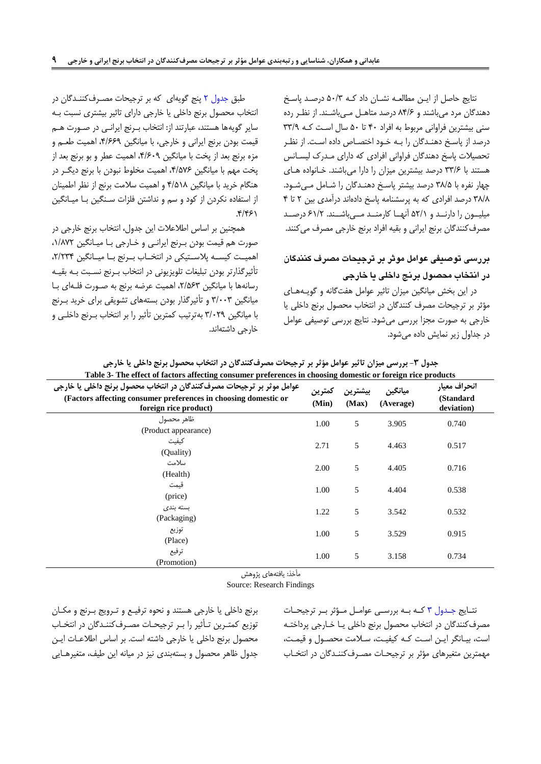نتایج حاصل از ایـن مطالعـه نشـان داد کـه ۵۰/۳ درصـد پاسخ دهندگان مرد میباشند و ۸۴/۶ درصد متاهل مهیباشند. از نظر رده سنی بیشترین فراوانی مربوط به افراد ۴۰ تا ۵۰ سال است کـه ۳۳/۹ درصد از پاسخ دهنـدگان را بـه خـود اختصـاص داده اسـت. از نظـر تحصیلات پاسخ دهندگان فراوانی افرادی که دارای مدرک لیسانس هستند با ۳۳/۶ درصد بیشترین میزان را دارا میباشند. خانواده های چهار نفره با 48/7 درصا بیشتر پاتر دهنرانان را شرامل مری شرود. ۳۸/۸ درصد افرادی که به پرسشنامه پاسخ دادهاند درآمدی بین ۲ تا ۴ میلیـون را دارنــد و ۵۲/۱ آنهــا کارمنــد مــیباشــند. ۶۱/۲ درصــد مصرف کنندگان برنج ایرانی و بقیه افراد برنج خارجی مصرف می کنند.

# **بررسی توصیفی عوامل موثر بر ترجیحات مصرف کنندگان در انتخاب محصول برنج داخلی یا خارجی**

<span id="page-8-0"></span>در این بخش میانگین میزان تاثیر عوامل هفتگانه و گویـههای مؤثر بر ترجیحات مصر کننانان در انتخاب محصول برنج داخلی یا خارجی به صورت مجزا بررتی میشود. نتایج بررتی توصیفی عوامل در جااول زیر نمایش داده میشود.

طبق جدول ٢ پنج گویهای که بر ترجیحات مصرف کنندگان در انتخاب محصول برنج داخلی یا خارجی دارای تاثیر بیشتری نسبت بره سایر گویهها هستند، عبارتند از: انتخاب بـرنج ایرانـی در صـورت هـم قیمت بودن برنج ایرانی و خارجی، با میانگین ،3/551 اهمیت طعرم و مزه برنج بعد از پخت با میانگین ۴/۶۰۹، اهمیت عطر و بو برنج بعد از پخت مهم با میانگین ۴/۵۷۶، اهمیت مخلوط نبودن با برنج دیگر در هنگام خریا با میانگین 3/798 و اهمیت تالمت برنج از نظر اطمینان از استفاده نکردن از کود و سم و نداشتن فلزات سـنگین بـا میـانگین .3/359

همچنین بر اساس اطلاعلات این جدول، انتخاب برنج خارجی در صورت هم قیمت بودن بـرنج ایرانـی و خـارجی بـا میـانگین ۱/۸۷۲، اهمیت کیسه پلاستیکی در انتخـاب بـرنج بـا میـانگین ،۲/۲۳۴ تأثیرگذارتر بودن تبلیغات تلویزیونی در انتخاب بـرنج نسـبت بـه بقیـه رسانهها با میانگین ،7/۵۶۳ اهمیت عرضه برنج به صورت فلهای با میانگین ۳/۰۰۳ و تأثیرگذار بودن بستههای تشویقی برای خرید بـرنج با میانگین 4/201 بهترتیب کمترین تأثیر را بر انتخاب بررنج داخلری و خارجی داشتهاند.

| Table 3- The effect of factors affecting consumer preferences in choosing domestic or foreign rice products                                                        |                 |                  |                      |                                         |
|--------------------------------------------------------------------------------------------------------------------------------------------------------------------|-----------------|------------------|----------------------|-----------------------------------------|
| عوامل موثر بر ترجیحات مصرف کنندگان در انتخاب محصول برنج داخلی یا خارجی<br>(Factors affecting consumer preferences in choosing domestic or<br>foreign rice product) | كمترين<br>(Min) | بيشترين<br>(Max) | ميانگين<br>(Average) | انحراف معيار<br>(Standard<br>deviation) |
| ظاهر محصول<br>(Product appearance)                                                                                                                                 | 1.00            | 5                | 3.905                | 0.740                                   |
| كيفيت<br>(Quality)                                                                                                                                                 | 2.71            | 5                | 4.463                | 0.517                                   |
| سلامت<br>(Health)                                                                                                                                                  | 2.00            | 5                | 4.405                | 0.716                                   |
| قىمت<br>(price)                                                                                                                                                    | 1.00            | 5                | 4.404                | 0.538                                   |
| بسته بندی<br>(Packaging)                                                                                                                                           | 1.22            | 5                | 3.542                | 0.532                                   |
| توزيع<br>(Place)                                                                                                                                                   | 1.00            | 5                | 3.529                | 0.915                                   |
| ترفيع<br>(Promotion)<br>$\epsilon$                                                                                                                                 | 1.00            | 5                | 3.158                | 0.734                                   |

**جدول -3 بررسی میزان تاثیر عوامل مؤثر بر ترجیحات مصرفکنندگان در انتخاب محصول برنج داخلی یا خارجی**

مأخذ: یاهتههای پژوهش

Source: Research Findings

برنج داخلی یا خارجی هستنا و نحوه ترهیرع و تررویج بررنج و مکران توزیع کمتـرین تـأثیر را بـر ترجیحـات مصـرفکننـدگان در انتخـاب محصول برنج داخلی یا خارجی داشته اتت. بر اتاس اطالعرات ایرن جاول ظاهر محصول و بستهبنای نیز در میانه این طیف، متغیرهرایی

نتایج جدول ۳ که به بررسی عوامل مؤثر بر ترجیحات مصرف کنندگان در انتخاب محصول برنج داخلی یـا خـارجی پرداختـه است، بیـانگر ایـن اسـت کـه کیفیـت، سـلامت محصـول و قیمـت، مهمترین متغیرهای مؤثر بر ترجیحـات مصـرف کننـدگان در انتخـاب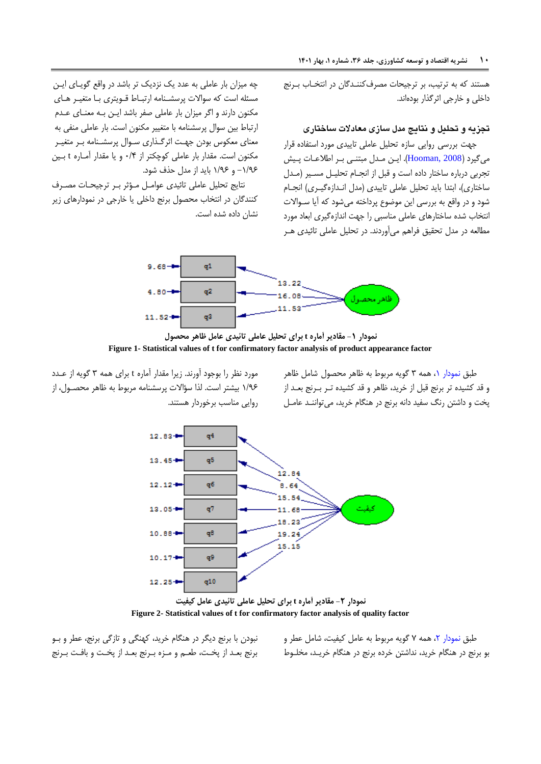هستنا که به ترتیب، بر ترجیحات مصر کننرانان در انتخراب بررنج داخلی و خارجی اثر گذار بودهاند.

### **تجزیه و تحلیل و نتایج مدل سازی معادالت ساختاری**

جهت بررسی روایی سازه تحلیل عاملی تاییدی مورد استفاده قرار میگیرد (Hooman, 2008). ایـن مـدل مبتنـی بـر اطلاعـات پـیش تجربی درباره ساختار داده است و قبل از انجـام تحلیـل مسـیر (مـدل ساختاری)، ابتدا باید تحلیل عاملی تاییدی (مدل انـدازهگیـری) انجـام شود و در واقع به بررسی این موضوع پرداخته میشود که آیا سـوالات انتخاب شده ساختارهای عاملی مناسبی را جهت اندازهگیری ابعاد مورد مطالعه در مدل تحقیق فراهم میآوردند. در تحلیل عاملی تائیدی هـر

چه میزان بار عاملی به عدد یک نزدیک تر باشد در واقع گویای ایـن مسئله است که سوالات پرسشـنامه ارتبـاط قـویتری بـا متغیـر هـای مکنون دارند و اگر میزان بار عاملی صفر باشد ایـن بـه معنـای عـدم ارتباط بین سوال پرسشنامه با متغییر مکنون است. بار عاملی منفی به معنای معکوس بودن جهت اثرگذاری سـوال پرسشـنامه بـر متغیـر مکنون است. مقدار بار عاملی کوچکتر از ۰/۴ و یا مقدار آمـاره t بـین ۱/۹۶ و ۱/۹۶ باید از مدل حذف شود.

نتایج تحلیل عاملی تائیدی عوامل مؤثر بر ترجیحات مصرف کنندگان در انتخاب محصول برنج داخلی یا خارجی در نمودارهای زیر نشان داده شده است.



**نمودار -1 مقادیر آماره t برای تحلیل عاملی تائیدی عامل ظاهر محصول Figure 1- Statistical values of t for confirmatory factor analysis of product appearance factor**

<span id="page-9-0"></span>طبق نمودار ۰، همه ۳ گویه مربوط به ظاهر محصول شامل ظاهر و قا کشیاه تر برنج قبل از خریا، ظاهر و قا کشیاه ترر بررنج بعرا از پخت و داشتن رنگ سفید دانه برنج در هنگام خرید، می تواننـد عامـل

مورد نظر را بوجود آورند. زیرا مقدار آماره t برای همه ۳ گویه از عـدد 9/15 بیشتر اتت. لذا تؤاالت پرتشنامه مربوط به ظاهر محصرول، از روایی مناتب برخوردار هستنا.



**Figure 2- Statistical values of t for confirmatory factor analysis of quality factor**

نبودن با برنج دیگر در هنگام خریا، کهنگی و تازنی برنج، عطر و برو برنج بعـد از پخـت، طعـم و مـزه بـرنج بعـد از پخـت و بافـت بـرنج <span id="page-9-1"></span>طبق [نمودار](#page-9-1) ۲، همه ۷ گویه مربوط به عامل کیفیت، شامل عطر و بو برنج در هنگام خریا، نااشتن خرده برنج در هنگام خریرا، مخلروط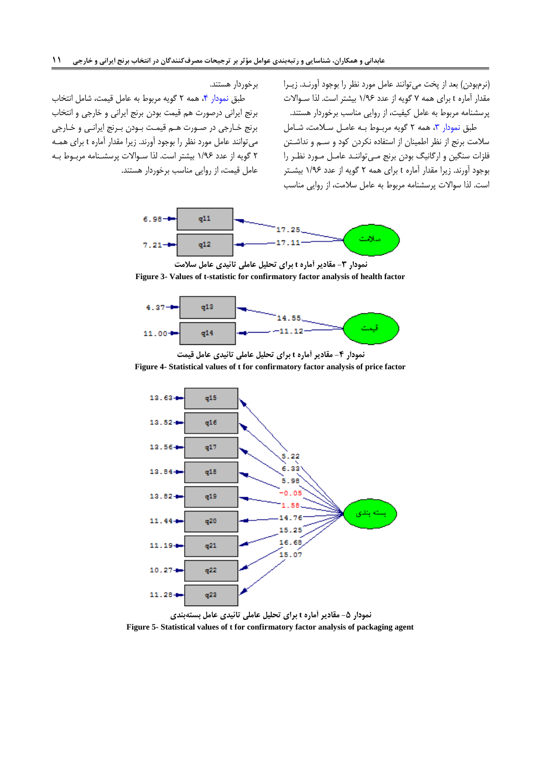(نرمبودن) بعد از پخت می توانند عامل مورد نظر را بوجود آورنـد. زیــرا مقدار آماره t برای همه ۷ گویه از عدد ۱/۹۶ بیشتر است. لذا سـوالات پرتشنامه مربوط به عامل کیفیت، از روایی مناتب برخوردار هستنا. طبق نمودار ٣، همه ٢ گويه مربوط به عامل سلامت، شامل سلامت برنج از نظر اطمینان از استفاده نکردن کود و سـم و نداشـتن

<span id="page-10-0"></span>فلزات سنگین و ارگانیگ بودن برنج مـیتواننـد عامـل مـورد نظـر را بوجود آورند. زیرا مقدار آماره t برای همه ۲ گویه از عدد ۱/۹۶ بیشتر اتت. لذا تواالت پرتشنامه مربوط به عامل تالمت، از روایی مناتب

برخوردار هستند.

طبق نمودار ۴، همه ۲ گویه مربوط به عامل قیمت، شامل انتخاب برنج ایرانی درصورت هم قیمت بودن برنج ایرانی و خارجی و انتخاب برنج خرارجی در صرورت هرم قیمرت برودن بررنج ایرانری و خرارجی می توانند عامل مورد نظر را بوجود آورند. زیرا مقدار آماره t برای همـه 0 نویه از عاد 9/15 بیشتر اتت. لذا ترواالت پرتشرنامه مربروط بره عامل قیمت، از روایی مناتب برخوردار هستنا.



**نمودار -3 مقادیر آماره t برای تحلیل عاملی تائیدی عامل سالمت Figure 3- Values of t-statistic for confirmatory factor analysis of health factor**



**نمودار -4 مقادیر آماره t برای تحلیل عاملی تائیدی عامل قیمت Figure 4- Statistical values of t for confirmatory factor analysis of price factor**

<span id="page-10-1"></span>

<span id="page-10-2"></span>**نمودار -5 مقادیر آماره t برای تحلیل عاملی تائیدی عامل بستهبندی Figure 5- Statistical values of t for confirmatory factor analysis of packaging agent**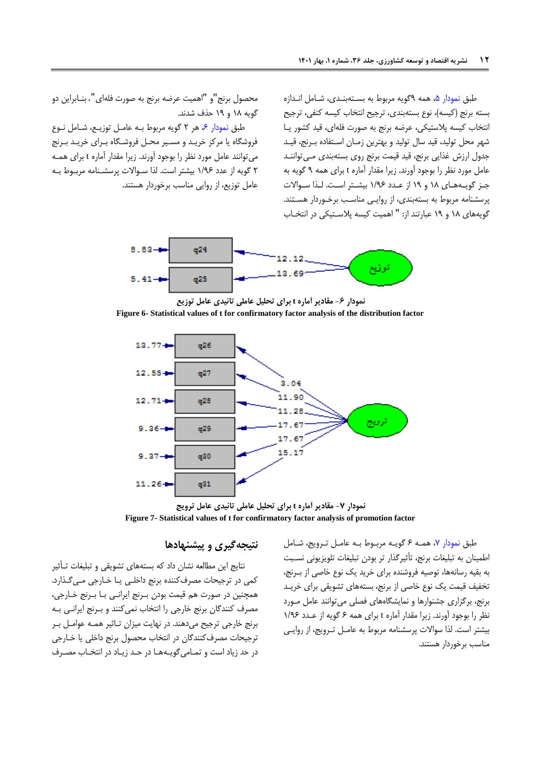<span id="page-11-0"></span>طبق نمودار ۵، همه ۹گویه مربوط به بستهبندی، شامل اندازه بسته برنج (کیسه)، نوع بستهبندی، ترجیح انتخاب کیسه کنفی، ترجیح انتخاب کیسه پالتتیکی، عرضه برنج به صورت هلهای، قیا کشور یرا شهر محل تولید، قید سال تولید و بهترین زمـان اسـتفاده بـرنج، قیـد جدول ارزش غذایی برنج، قید قیمت برنج روی بستهبندی مے تواننـد عامل مورد نظر را بوجود آورند. زیرا مقدار آماره t برای همه ۹ گویه به جـز گویـههـای ۱۸ و ۱۹ از عـدد ۱/۹۶ بیشـتر اسـت. لـذا سـوالات پرسشنامه مربوط به بستهبندی، از روایی مناسب برخوردار هستند. گویههای ۱۸ و ۱۹ عبارتند از: " اهمیت کیسه پلاستیکی در انتخـاب

محصول برنج"و "اهمیت عرضه برنج به صورت هلهای". بنرابراین دو گویه ۱۸ و ۱۹ حذف شدند.

طبق نمودار ۶، هر ۲ گویه مربوط به عامل توزیـع، شـامل نـوع هروشگاه یا مرکز خریرا و مسریر محرل هروشرگاه بررای خریرا بررنج میتوانند عامل مورد نظر را بوجود آورند. زیرا مقدار آماره t برای همـه 0 نویه از عاد 9/15 بیشتر اتت. لذا ترواالت پرتشرنامه مربروط بره عامل توزیع، از روایی مناتب برخوردار هستنا.



**نمودار -6 مقادیر آماره t برای تحلیل عاملی تائیدی عامل توزیع Figure 6- Statistical values of t for confirmatory factor analysis of the distribution factor**



**نمودار -7 مقادیر آماره t برای تحلیل عاملی تائیدی عامل ترویج Figure 7- Statistical values of t for confirmatory factor analysis of promotion factor**

### **نتیجهگیری و پیشنهادها**

نتایج این مطالعه نشان داد که بستههای تشویای و تبلیغات ترأثیر کمی در ترجیحات مصرف کننده برنج داخلی یا خارجی میگذارد. همچنین در صورت هم قیمت بودن بررنج ایرانری برا بررنج خرارجی، مصرف کنندگان برنج خارجی را انتخاب نمیکنند و بـرنج ایرانـی بـه برنج خارجی ترجیح میدهنا. در نهایت میزان تراثیر همره عوامرل برر ترجیحات مصرف کنندگان در انتخاب محصول برنج داخلی یا خـارجی در حد زیاد است و تمامیگویـههـا در حـد زیـاد در انتخـاب مصـرف

<span id="page-11-1"></span>طبق نمودار ۷، همـه ۶ گویـه مربـوط بـه عامـل تـرویج، شـامل اطمینان به تبلیغات برنج، تأثیرنذار تر بودن تبلیغات تلویزیونی نسربت به بقیه رسانهها، توصیه فروشنده برای خرید یک نوع خاصی از بـرنج، تخفیف قیمت یک نوع خاصی از برنج، بستههای تشویقی برای خریـد برنج، برگزاری جشنوارها و نمایشگاههای فصلی میتوانند عامل مورد نظر را بوجود آورند. زیرا مقدار آماره t برای همه ۶ گویه از عدد ۱/۹۶ بیشتر اتت. لذا تواالت پرتشنامه مربوط به عامرل تررویج، از روایری مناسب برخوردار هستند.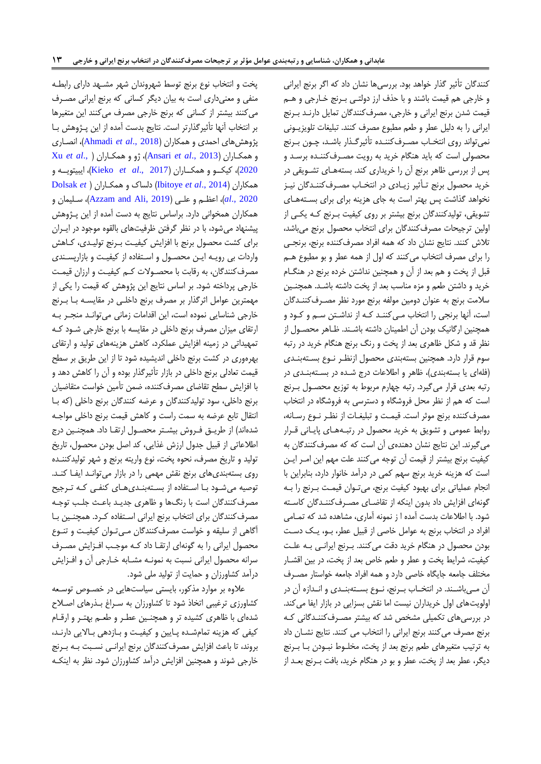پخت و انتخاب نوع برنج توسط شهروندان شهر مشـهد دارای رابطـه منفی و معنیداری است به بیان دیگر کسانی که برنج ایرانی مصـرف میکنند بیشتر از کسانی که برنج خارجی مصرف میکنند این متغیرها بر انتخاب آنها تأثیرگذارتر است. نتایج بدست آمده از این پـژوهش بـا پژوهشهای احمای و همکاران )2018 .,*al et* [Ahmadi](#page-13-11)ش، انصراری و همکراران ) [2013 .,](#page-13-20)*al et* Ansariش، ژو و همکراران [\)](#page-14-1) .,*[al et](#page-14-1)* Xu [2020](#page-14-1)ش، کیکررو و همکرراران ) [2017 .,](#page-13-14)*al et* Kiekoش، ایبیتویرره و همکاران )2014 .,*al et* [Ibitoye](#page-13-16)ش دلساک و همکراران [\)](#page-13-2) *et* [Dolsak](#page-13-2) [2020 .,](#page-13-2)*al*ش، اعظرم و علری ) [2019 ,Ali and Azzam](#page-13-0)ش، ترلیمان و همکاران همخوانی دارد. براساس نتایج به دست آمده از این پـژوهش پیشنهاد میشود، با در نظر نرهتن ظرهیتهای بالاوه موجود در ایرران برای کشت محصول برنج با اهزایش کیفیرت بررنج تولیرای، کراهش واردات بی رویـه ایـن محصـول و اسـتفاده از کیفیـت و بازارپسـندی مصرف کنندگان، به رقابت با محصـولات کـم کیفیـت و ارزان قیمـت خارجی پرداخته شود. بر اساس نتایج این پژوهش که قیمت را یکی از مهمترین عوامل اثرگذار بر مصرف برنج داخلـی در مقایسـه بــا بــرنج خارجی شناسایی نموده است، این اقدامات زمانی میتواند منجر به ارتقای میزان مصرف برنج داخلی در مقایسه با برنج خارجی شـود کـه تمهیداتی در زمینه افزایش عملکرد، کاهش هزینههای تولید و ارتقای بهرهوری در کشت برنج داخلی انایشیاه شود تا از این طریق بر تطح قیمت تعادلی برنج داخلی در بازار تأثیرنذار بوده و آن را کاهش دها و با افزایش سطح تقاضای مصرفکننده، ضمن تأمین خواست متقاضیان برنج داخلی، سود تولیدکنندگان و عرضه کنندگان برنج داخلی (که با انتقال تابع عرضه به سمت راست و کاهش قیمت برنج داخلی مواجـه شدهاند) از طریــق فـروش بیشــتر محصــول ارتقــا داد. همچنــین درج اطلاعاتی از قبیل جدول ارزش غذایی، کد اصل بودن محصول، تاریخ تولید و تاریخ مصرف، نحوه پخت، نوع واریته برنج و شهر تولیدکننـده روی بستهبندیهای برنج نقش مهمی را در بازار میتواند ایف کند. توصیه میشـود بـا اسـتفاده از بسـتهبنـدیهـای کنفـی کـه تـرجیح مصرف کنندگان است با رنگها و ظاهری جدیـد باعـث جلـب توجـه مصرف کنندگان برای انتخاب برنج ایرانی استفاده کرد. همچنـین بـا آگاهی از سلیقه و خواست مصرف کنندگان مبی تـوان کیفیـت و تنـوع محصول ایرانی را به گونهای ارتقـا داد کـه موجـب افـزایش مصـرف ترانه محصول ایرانی نسبت به نمونره مشرابه خرارجی آن و اهرزایش درآمد کشاورزان و حمایت از تولید ملی شود.

علاوه بر موارد مذکور، بایستی سیاستهایی در خصوص توسعه کشاورزی ترغیبی اتخاذ شود تا کشاورزان به سـراغ بـذرهای اصـلاح شدهای با ظاهری کشیده تر و همچنـین عطـر و طعـم بهتـر و ارقـام کیفی که هزینه تمامشده پایین و کیفیت و بازدهی بالایی دارند، بروند، تا باعث افزایش مصرف کنندگان برنج ایرانـی نسـبت بـه بـرنج خارجی شوند و همچنین افزایش درآمد کشاورزان شود. نظر به اینکـه

کنندگان تأثیر گذار خواهد بود. بررسیها نشان داد که اگر برنج ایرانی و خارجی هم قیمت باشند و با حذف ارز دولتـی بـرنج خـارجی و هـم قیمت شدن برنج ایرانی و خارجی، مصرف کنندگان تمایل دارنـد بـرنج ایرانی را به دلیل عطر و طعم مطبوع مصر کننا. تبلیغات تلویزیرونی نمیتواند روی انتخـاب مصـرفکننـده تأثیرگـذار باشـد، چـون بـرنج محصولی است که باید هنگام خرید به رویت مصـرف¢کننـده برسـد و پس از بررسی ظاهر برنج آن را خریداری کند. بستههـای تشـویقی در خرید محصول برنج تـأثیر زیـادی در انتخـاب مصـرفکننـدگان نیـز نخواهد گذاشت پس بهتر است به جای هزینه برای برای بستههای تشویقی، تولیدکنندگان برنج بیشتر بر روی کیفیت بـرنج کـه یکـی از اولین ترجیحات مصر کننانان برای انتخاب محصول برنج میباشا، تلاش کنند. نتایج نشان داد که همه افراد مصرفکننده برنج، برنجی را برای مصرف انتخاب میکنند که اول از همه عطر و بو مطبوع هـم قبل از پخت و هم بعا از آن و همچنین نااشتن خرده برنج در هنگرام خرید و داشتن طعم و مزه مناسب بعد از پخت داشته باشـد. همچنـین سلامت برنج به عنوان دومین مولفه برنج مورد نظر مصـرف¢کننـدگان است، آنها برنجی را انتخاب می کننـد کـه از نداشـتن سـم و کـود و همچنین ارگانیک بودن آن اطمینان داشته باشـند. ظـاهر محصـول از نظر قد و شکل ظاهری بعد از پخت و رنگ برنج هنگام خرید در رتبه سوم قرار دارد. همچنین بستهبندی محصول ازنظر نـوع بسـتهبنـدی (فلهای یا بستهبندی)، ظاهر و اطلاعات درج شده در بستهبندی در رتبه بعدی قرار می گیرد. رتبه چهارم مربوط به توزیع محصـول بــرنج اتت که هم از نظر محل هروشگاه و دتترتی به هروشگاه در انتخاب مصرف کننده برنج موثر است. قیمت و تبلیغـات از نظـر نــوع رســانه، روابط عمومی و تشویق به خرید محصول در رتبـههـای پایـانی قــرار می گیرند. این نتایج نشان دهندهی آن است که که مصرف کنندگان به کیفیت برنج بیشتر از قیمت آن توجه میکننا علت مهم این امرر ایرن اتت که هزینه خریا برنج تهم کمی در درآما خانوار دارد، بنابراین با انجام عملیاتی برای بهبود کیفیت برنج، میتروان قیمرت بررنج را بره گونهای افزایش داد بدون اینکه از تقاضـای مصـرفکننـدگان کاسـته شود. با اطلاعات بدست آمده ا ز نمونه آماری، مشاهده شد که تمـامی اهراد در انتخاب برنج به عوامل خاصی از قبیل عطر، برو، یرک دترت بودن محصول در هنگام خرید دقت می کنند. بـرنج ایرانـی بـه علـت کیفیت، شرایط پخت و عطر و طعم خاص بعد از پخت، در بین اقشـار مختلف جامعه جایگاه خاصی دارد و همه اهراد جامعه خواتتار مصرر آن مـیباشـند. در انتخــاب بــرنج، نــوع بســتهبنــدی و انــدازه آن در اولویتهای اول خریداران نیست اما نقش بسزایی در بازار ایفا می کند. در بررسی های تکمیلی مشخص شد که بیشتر مصـرفکننـدگانی کـه برنج مصرف میکنند برنج ایرانی را انتخاب می کنند. نتایج نشان داد به ترتیب متغیرهای طعم برنج بعد از پخت، مخلـوط نبـودن بـا بـرنج دیگر، عطر بعد از پخت، عطر و بو در هنگام خرید، بافت بــرنج بعــد از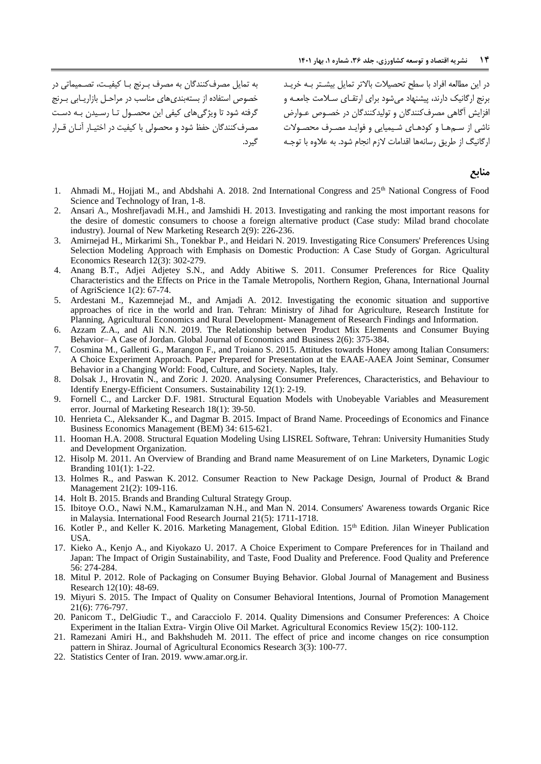به تمایل مصر کننانان به مصر بررنج برا کیفیرت، تصرمیماتی در خصوص استفاده از بستهبندیهای مناسب در مراحل بازاریـابی بـرنج گرفته شود تا ویژگیهای کیفی این محصـول تـا رسـیدن بـه دسـت مصر کننانان حفظ شود و محصولی با کیفیت در اختیرار آنران قررار گیرد.

در این مطالعه افراد با سطح تحصیلات بالاتر تمایل بیشـتر بـه خریـد برنج ارگانیک دارند، پیشنهاد می شود برای ارتقـای سـلامت جامعــه و افزایش آگاهی مصرف کنندگان و تولیدکنندگان در خصوص عـوارض ناشی از سـمهـا و کودهـای شـیمیایی و فوایـد مصـرف محصـولات ارگانیگ از طریق رسانهها اقدامات لازم انجام شود. به علاوه با توجـه

#### **منابع**

- <span id="page-13-11"></span>1. Ahmadi M., Hojjati M., and Abdshahi A. 2018. 2nd International Congress and 25th National Congress of Food Science and Technology of Iran, 1-8.
- <span id="page-13-20"></span>2. Ansari A., Moshrefjavadi M.H., and Jamshidi H. 2013. Investigating and ranking the most important reasons for the desire of domestic consumers to choose a foreign alternative product (Case study: Milad brand chocolate industry). Journal of New Marketing Research 2(9): 226-236.
- <span id="page-13-12"></span>3. Amirnejad H., Mirkarimi Sh., Tonekbar P., and Heidari N. 2019. Investigating Rice Consumers' Preferences Using Selection Modeling Approach with Emphasis on Domestic Production: A Case Study of Gorgan. Agricultural Economics Research 12(3): 302-279.
- <span id="page-13-17"></span>4. Anang B.T., Adjei Adjetey S.N., and Addy Abitiwe S. 2011. Consumer Preferences for Rice Quality Characteristics and the Effects on Price in the Tamale Metropolis, Northern Region, Ghana, International Journal of AgriScience 1(2): 67-74.
- <span id="page-13-8"></span>5. Ardestani M., Kazemnejad M., and Amjadi A. 2012. Investigating the economic situation and supportive approaches of rice in the world and Iran. Tehran: Ministry of Jihad for Agriculture, Research Institute for Planning, Agricultural Economics and Rural Development- Management of Research Findings and Information.
- <span id="page-13-0"></span>6. Azzam Z.A., and Ali N.N. 2019. The Relationship between Product Mix Elements and Consumer Buying Behavior– A Case of Jordan. Global Journal of Economics and Business 2(6): 375-384.
- <span id="page-13-15"></span>7. Cosmina M., Gallenti G., Marangon F., and Troiano S. 2015. Attitudes towards Honey among Italian Consumers: A Choice Experiment Approach. Paper Prepared for Presentation at the EAAE-AAEA Joint Seminar, Consumer Behavior in a Changing World: Food, Culture, and Society. Naples, Italy.
- <span id="page-13-2"></span>8. Dolsak J., Hrovatin N., and Zoric J. 2020. Analysing Consumer Preferences, Characteristics, and Behaviour to Identify Energy-Efficient Consumers. Sustainability 12(1): 2-19.
- <span id="page-13-18"></span>9. Fornell C., and Larcker D.F. 1981. Structural Equation Models with Unobeyable Variables and Measurement error. Journal of Marketing Research 18(1): 39-50.
- <span id="page-13-4"></span>10. Henrieta C., Aleksander K., and Dagmar B. 2015. Impact of Brand Name. Proceedings of Economics and Finance Business Economics Management (BEM) 34: 615-621.
- <span id="page-13-19"></span>11. Hooman H.A. 2008. Structural Equation Modeling Using LISREL Software, Tehran: University Humanities Study and Development Organization.
- <span id="page-13-5"></span>12. Hisolp M. 2011. An Overview of Branding and Brand name Measurement of on Line Marketers, Dynamic Logic Branding 101(1): 1-22.
- <span id="page-13-3"></span>13. Holmes R., and Paswan K. 2012. Consumer Reaction to New Package Design, Journal of Product & Brand Management 21(2): 109-116.
- <span id="page-13-6"></span>14. Holt B. 2015. Brands and Branding Cultural Strategy Group.
- <span id="page-13-16"></span>15. Ibitoye O.O., Nawi N.M., Kamarulzaman N.H., and Man N. 2014. Consumers' Awareness towards Organic Rice in Malaysia. International Food Research Journal 21(5): 1711-1718.
- <span id="page-13-1"></span>16. Kotler P., and Keller K. 2016. Marketing Management, Global Edition. 15<sup>th</sup> Edition. Jilan Wineyer Publication USA.
- <span id="page-13-14"></span>17. Kieko A., Kenjo A., and Kiyokazo U. 2017. A Choice Experiment to Compare Preferences for in Thailand and Japan: The Impact of Origin Sustainability, and Taste, Food Duality and Preference. Food Quality and Preference 56: 274-284.
- 18. Mitul P. 2012. Role of Packaging on Consumer Buying Behavior. Global Journal of Management and Business Research 12(10): 48-69.
- <span id="page-13-7"></span>19. Miyuri S. 2015. The Impact of Quality on Consumer Behavioral Intentions, Journal of Promotion Management 21(6): 776-797.
- <span id="page-13-10"></span>20. Panicom T., DelGiudic T., and Caracciolo F. 2014. Quality Dimensions and Consumer Preferences: A Choice Experiment in the Italian Extra- Virgin Olive Oil Market. Agricultural Economics Review 15(2): 100-112.
- <span id="page-13-13"></span>21. Ramezani Amiri H., and Bakhshudeh M. 2011. The effect of price and income changes on rice consumption pattern in Shiraz. Journal of Agricultural Economics Research 3(3): 100-77.
- <span id="page-13-9"></span>22. Statistics Center of Iran. 2019. www.amar.org.ir.